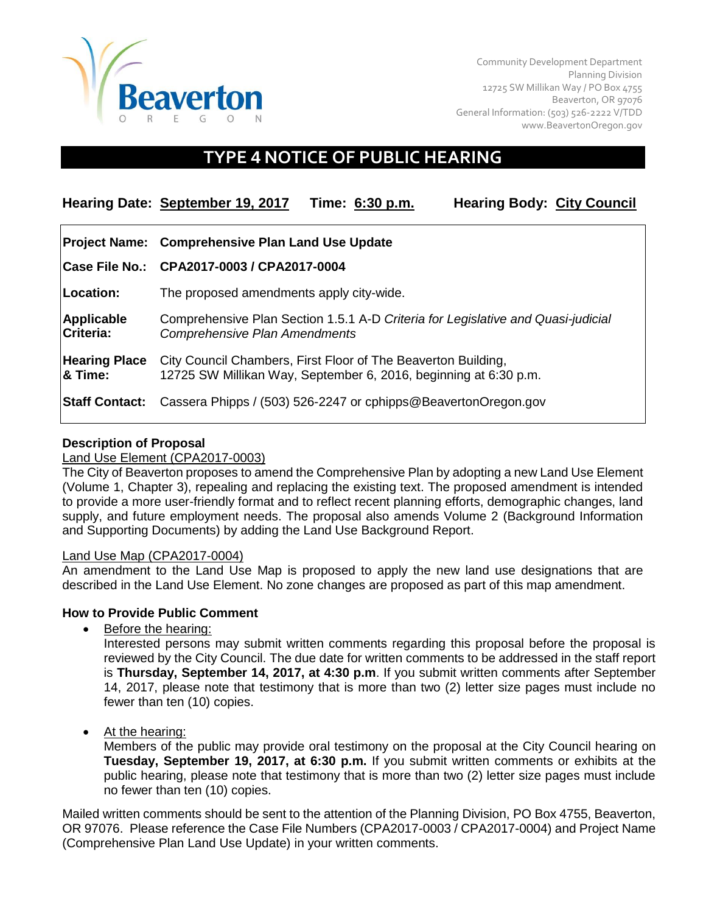

Community Development Department Planning Division 12725 SW Millikan Way / PO Box 4755 Beaverton, OR 97076 General Information: (503) 526-2222 V/TDD [www.BeavertonOregon.gov](http://www.beavertonoregon.gov/)

# **TYPE 4 NOTICE OF PUBLIC HEARING**

| Hearing Date: September 19, 2017 | Time: 6:30 p.m. | <b>Hearing Body: City Council</b> |  |
|----------------------------------|-----------------|-----------------------------------|--|
|----------------------------------|-----------------|-----------------------------------|--|

|                                   | Project Name: Comprehensive Plan Land Use Update                                                                                  |  |
|-----------------------------------|-----------------------------------------------------------------------------------------------------------------------------------|--|
|                                   | Case File No.: CPA2017-0003 / CPA2017-0004                                                                                        |  |
| Location:                         | The proposed amendments apply city-wide.                                                                                          |  |
| Applicable<br>Criteria:           | Comprehensive Plan Section 1.5.1 A-D Criteria for Legislative and Quasi-judicial<br><b>Comprehensive Plan Amendments</b>          |  |
| <b>Hearing Place</b><br>$8$ Time: | City Council Chambers, First Floor of The Beaverton Building,<br>12725 SW Millikan Way, September 6, 2016, beginning at 6:30 p.m. |  |
|                                   | <b>Staff Contact:</b> Cassera Phipps / (503) 526-2247 or cphipps@BeavertonOregon.gov                                              |  |

## **Description of Proposal**

#### Land Use Element (CPA2017-0003)

The City of Beaverton proposes to amend the Comprehensive Plan by adopting a new Land Use Element (Volume 1, Chapter 3), repealing and replacing the existing text. The proposed amendment is intended to provide a more user-friendly format and to reflect recent planning efforts, demographic changes, land supply, and future employment needs. The proposal also amends Volume 2 (Background Information and Supporting Documents) by adding the Land Use Background Report.

#### Land Use Map (CPA2017-0004)

An amendment to the Land Use Map is proposed to apply the new land use designations that are described in the Land Use Element. No zone changes are proposed as part of this map amendment.

# **How to Provide Public Comment**

• Before the hearing:

Interested persons may submit written comments regarding this proposal before the proposal is reviewed by the City Council. The due date for written comments to be addressed in the staff report is **Thursday, September 14, 2017, at 4:30 p.m**. If you submit written comments after September 14, 2017, please note that testimony that is more than two (2) letter size pages must include no fewer than ten (10) copies.

At the hearing:

Members of the public may provide oral testimony on the proposal at the City Council hearing on **Tuesday, September 19, 2017, at 6:30 p.m.** If you submit written comments or exhibits at the public hearing, please note that testimony that is more than two (2) letter size pages must include no fewer than ten (10) copies.

Mailed written comments should be sent to the attention of the Planning Division, PO Box 4755, Beaverton, OR 97076. Please reference the Case File Numbers (CPA2017-0003 / CPA2017-0004) and Project Name (Comprehensive Plan Land Use Update) in your written comments.